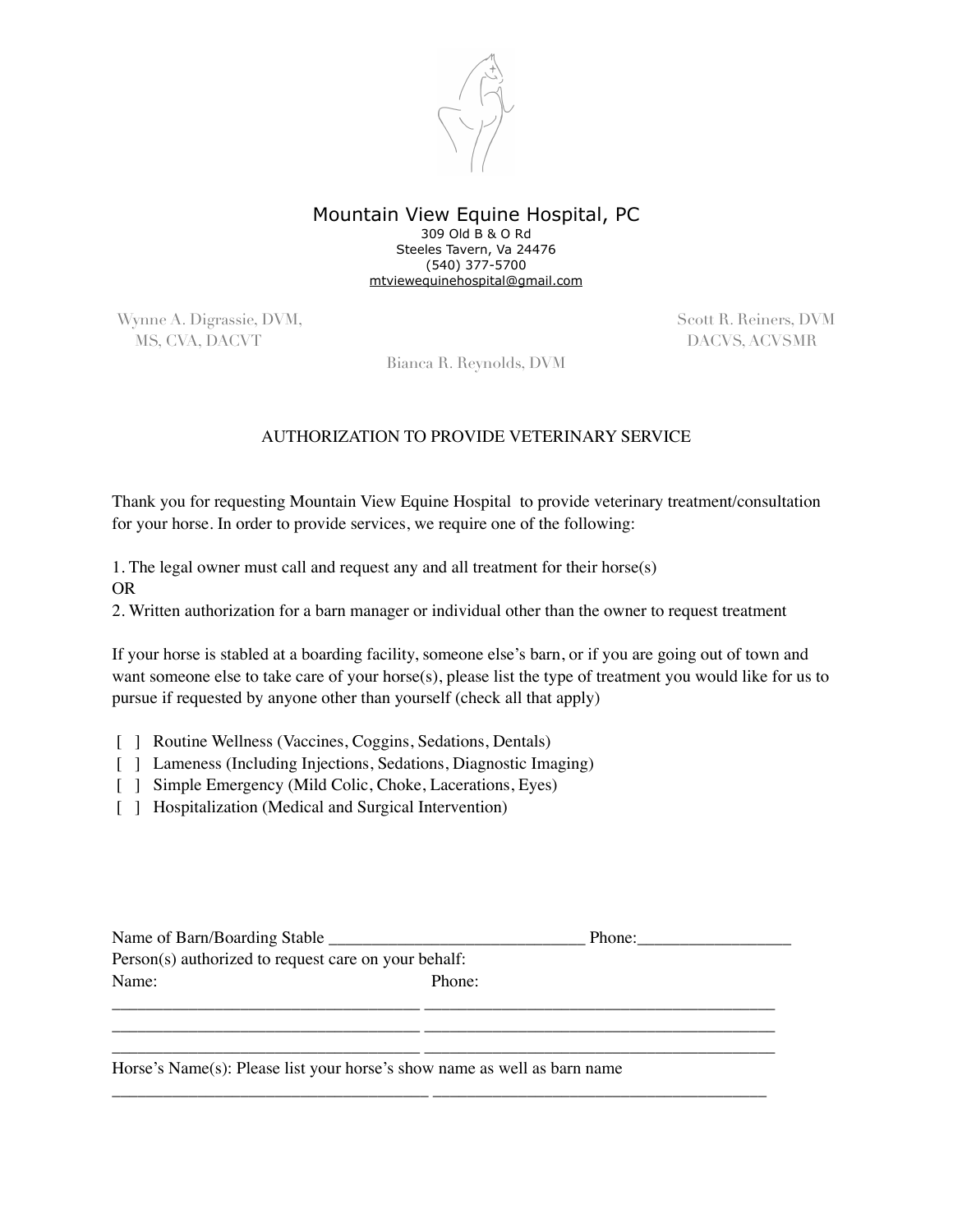

Mountain View Equine Hospital, PC 309 Old B & O Rd Steeles Tavern, Va 24476 (540) 377-5700 [mtviewequinehospital@gmail.com](mailto:mtviewequinehospital@gmail.com)

Wynne A. Digrassie, DVM, Scott R. Reiners, DVM MS, CVA, DACVT DACVS, ACVSMR

Bianca R. Reynolds, DVM

## AUTHORIZATION TO PROVIDE VETERINARY SERVICE

Thank you for requesting Mountain View Equine Hospital to provide veterinary treatment/consultation for your horse. In order to provide services, we require one of the following:

1. The legal owner must call and request any and all treatment for their horse(s) OR

2. Written authorization for a barn manager or individual other than the owner to request treatment

If your horse is stabled at a boarding facility, someone else's barn, or if you are going out of town and want someone else to take care of your horse(s), please list the type of treatment you would like for us to pursue if requested by anyone other than yourself (check all that apply)

- [ ] Routine Wellness (Vaccines, Coggins, Sedations, Dentals)
- [ ] Lameness (Including Injections, Sedations, Diagnostic Imaging)
- [ ] Simple Emergency (Mild Colic, Choke, Lacerations, Eyes)
- [ ] Hospitalization (Medical and Surgical Intervention)

| Name of Barn/Boarding Stable _                       |        | Phone: |
|------------------------------------------------------|--------|--------|
| Person(s) authorized to request care on your behalf: |        |        |
| Name:                                                | Phone: |        |
|                                                      |        |        |
|                                                      |        |        |

\_\_\_\_\_\_\_\_\_\_\_\_\_\_\_\_\_\_\_\_\_\_\_\_\_\_\_\_\_\_\_\_\_\_\_\_ \_\_\_\_\_\_\_\_\_\_\_\_\_\_\_\_\_\_\_\_\_\_\_\_\_\_\_\_\_\_\_\_\_\_\_\_\_\_\_\_\_

\_\_\_\_\_\_\_\_\_\_\_\_\_\_\_\_\_\_\_\_\_\_\_\_\_\_\_\_\_\_\_\_\_\_\_\_\_ \_\_\_\_\_\_\_\_\_\_\_\_\_\_\_\_\_\_\_\_\_\_\_\_\_\_\_\_\_\_\_\_\_\_\_\_\_\_\_

Horse's Name(s): Please list your horse's show name as well as barn name